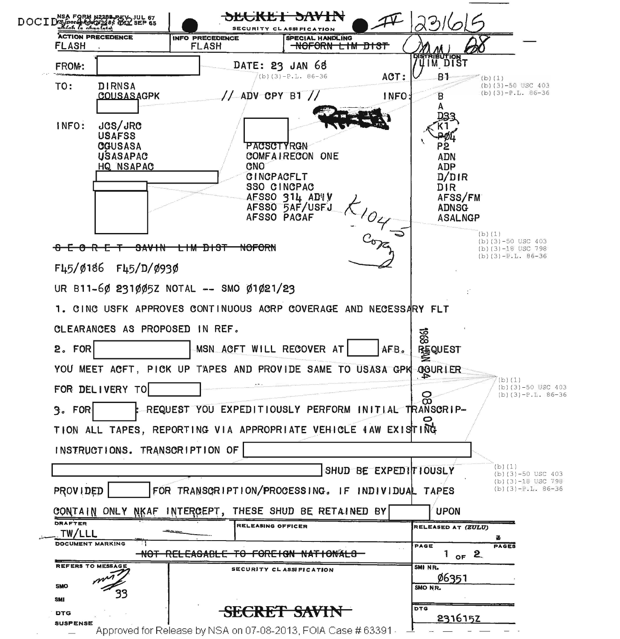